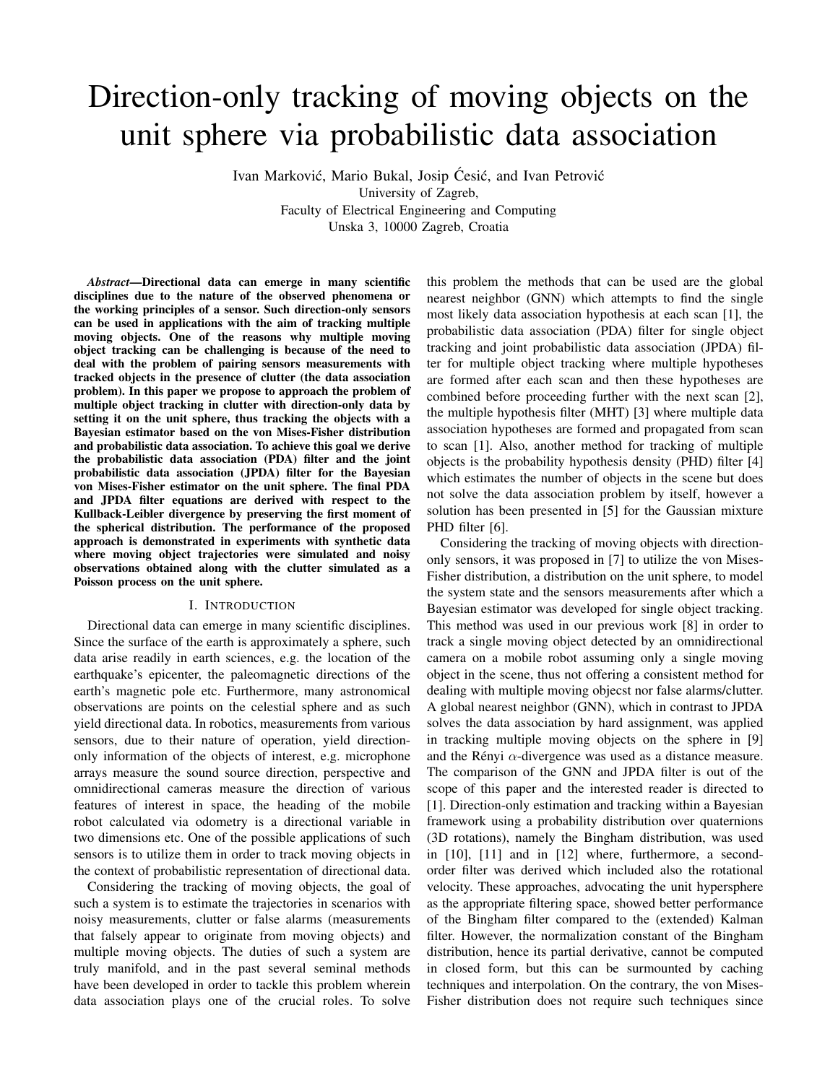# Direction-only tracking of moving objects on the unit sphere via probabilistic data association

Ivan Marković, Mario Bukal, Josip Ćesić, and Ivan Petrović University of Zagreb, Faculty of Electrical Engineering and Computing Unska 3, 10000 Zagreb, Croatia

*Abstract*—Directional data can emerge in many scientific disciplines due to the nature of the observed phenomena or the working principles of a sensor. Such direction-only sensors can be used in applications with the aim of tracking multiple moving objects. One of the reasons why multiple moving object tracking can be challenging is because of the need to deal with the problem of pairing sensors measurements with tracked objects in the presence of clutter (the data association problem). In this paper we propose to approach the problem of multiple object tracking in clutter with direction-only data by setting it on the unit sphere, thus tracking the objects with a Bayesian estimator based on the von Mises-Fisher distribution and probabilistic data association. To achieve this goal we derive the probabilistic data association (PDA) filter and the joint probabilistic data association (JPDA) filter for the Bayesian von Mises-Fisher estimator on the unit sphere. The final PDA and JPDA filter equations are derived with respect to the Kullback-Leibler divergence by preserving the first moment of the spherical distribution. The performance of the proposed approach is demonstrated in experiments with synthetic data where moving object trajectories were simulated and noisy observations obtained along with the clutter simulated as a Poisson process on the unit sphere.

## I. INTRODUCTION

Directional data can emerge in many scientific disciplines. Since the surface of the earth is approximately a sphere, such data arise readily in earth sciences, e.g. the location of the earthquake's epicenter, the paleomagnetic directions of the earth's magnetic pole etc. Furthermore, many astronomical observations are points on the celestial sphere and as such yield directional data. In robotics, measurements from various sensors, due to their nature of operation, yield directiononly information of the objects of interest, e.g. microphone arrays measure the sound source direction, perspective and omnidirectional cameras measure the direction of various features of interest in space, the heading of the mobile robot calculated via odometry is a directional variable in two dimensions etc. One of the possible applications of such sensors is to utilize them in order to track moving objects in the context of probabilistic representation of directional data.

Considering the tracking of moving objects, the goal of such a system is to estimate the trajectories in scenarios with noisy measurements, clutter or false alarms (measurements that falsely appear to originate from moving objects) and multiple moving objects. The duties of such a system are truly manifold, and in the past several seminal methods have been developed in order to tackle this problem wherein data association plays one of the crucial roles. To solve this problem the methods that can be used are the global nearest neighbor (GNN) which attempts to find the single most likely data association hypothesis at each scan [1], the probabilistic data association (PDA) filter for single object tracking and joint probabilistic data association (JPDA) filter for multiple object tracking where multiple hypotheses are formed after each scan and then these hypotheses are combined before proceeding further with the next scan [2], the multiple hypothesis filter (MHT) [3] where multiple data association hypotheses are formed and propagated from scan to scan [1]. Also, another method for tracking of multiple objects is the probability hypothesis density (PHD) filter [4] which estimates the number of objects in the scene but does not solve the data association problem by itself, however a solution has been presented in [5] for the Gaussian mixture PHD filter [6].

Considering the tracking of moving objects with directiononly sensors, it was proposed in [7] to utilize the von Mises-Fisher distribution, a distribution on the unit sphere, to model the system state and the sensors measurements after which a Bayesian estimator was developed for single object tracking. This method was used in our previous work [8] in order to track a single moving object detected by an omnidirectional camera on a mobile robot assuming only a single moving object in the scene, thus not offering a consistent method for dealing with multiple moving objecst nor false alarms/clutter. A global nearest neighbor (GNN), which in contrast to JPDA solves the data association by hard assignment, was applied in tracking multiple moving objects on the sphere in [9] and the Rényi  $\alpha$ -divergence was used as a distance measure. The comparison of the GNN and JPDA filter is out of the scope of this paper and the interested reader is directed to [1]. Direction-only estimation and tracking within a Bayesian framework using a probability distribution over quaternions (3D rotations), namely the Bingham distribution, was used in [10], [11] and in [12] where, furthermore, a secondorder filter was derived which included also the rotational velocity. These approaches, advocating the unit hypersphere as the appropriate filtering space, showed better performance of the Bingham filter compared to the (extended) Kalman filter. However, the normalization constant of the Bingham distribution, hence its partial derivative, cannot be computed in closed form, but this can be surmounted by caching techniques and interpolation. On the contrary, the von Mises-Fisher distribution does not require such techniques since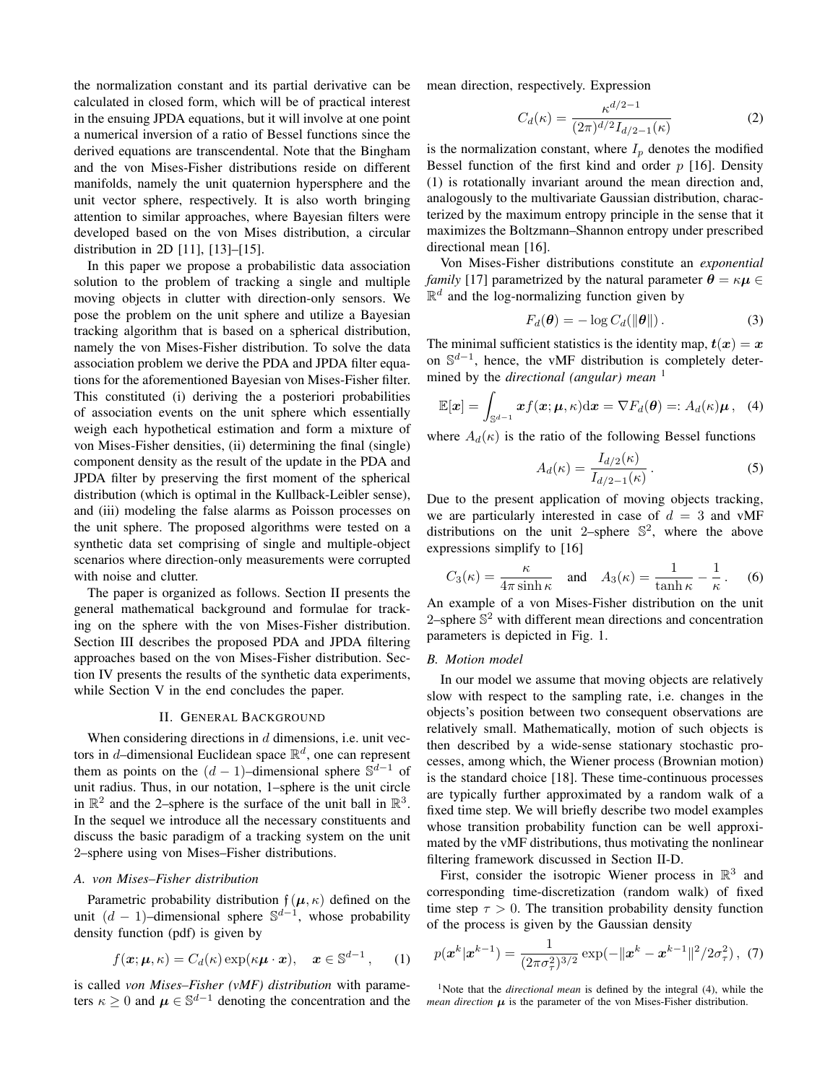the normalization constant and its partial derivative can be calculated in closed form, which will be of practical interest in the ensuing JPDA equations, but it will involve at one point a numerical inversion of a ratio of Bessel functions since the derived equations are transcendental. Note that the Bingham and the von Mises-Fisher distributions reside on different manifolds, namely the unit quaternion hypersphere and the unit vector sphere, respectively. It is also worth bringing attention to similar approaches, where Bayesian filters were developed based on the von Mises distribution, a circular distribution in 2D [11], [13]–[15].

In this paper we propose a probabilistic data association solution to the problem of tracking a single and multiple moving objects in clutter with direction-only sensors. We pose the problem on the unit sphere and utilize a Bayesian tracking algorithm that is based on a spherical distribution, namely the von Mises-Fisher distribution. To solve the data association problem we derive the PDA and JPDA filter equations for the aforementioned Bayesian von Mises-Fisher filter. This constituted (i) deriving the a posteriori probabilities of association events on the unit sphere which essentially weigh each hypothetical estimation and form a mixture of von Mises-Fisher densities, (ii) determining the final (single) component density as the result of the update in the PDA and JPDA filter by preserving the first moment of the spherical distribution (which is optimal in the Kullback-Leibler sense), and (iii) modeling the false alarms as Poisson processes on the unit sphere. The proposed algorithms were tested on a synthetic data set comprising of single and multiple-object scenarios where direction-only measurements were corrupted with noise and clutter.

The paper is organized as follows. Section II presents the general mathematical background and formulae for tracking on the sphere with the von Mises-Fisher distribution. Section III describes the proposed PDA and JPDA filtering approaches based on the von Mises-Fisher distribution. Section IV presents the results of the synthetic data experiments, while Section V in the end concludes the paper.

#### II. GENERAL BACKGROUND

When considering directions in  $d$  dimensions, i.e. unit vectors in d-dimensional Euclidean space  $\mathbb{R}^d$ , one can represent them as points on the  $(d-1)$ –dimensional sphere  $\mathbb{S}^{d-1}$  of unit radius. Thus, in our notation, 1–sphere is the unit circle in  $\mathbb{R}^2$  and the 2-sphere is the surface of the unit ball in  $\mathbb{R}^3$ . In the sequel we introduce all the necessary constituents and discuss the basic paradigm of a tracking system on the unit 2–sphere using von Mises–Fisher distributions.

# *A. von Mises–Fisher distribution*

Parametric probability distribution  $f(\mu, \kappa)$  defined on the unit  $(d-1)$ -dimensional sphere  $\mathbb{S}^{d-1}$ , whose probability density function (pdf) is given by

$$
f(\mathbf{x}; \boldsymbol{\mu}, \kappa) = C_d(\kappa) \exp(\kappa \boldsymbol{\mu} \cdot \mathbf{x}), \quad \mathbf{x} \in \mathbb{S}^{d-1}, \qquad (1)
$$

is called *von Mises–Fisher (vMF) distribution* with parameters  $\kappa \geq 0$  and  $\mu \in \mathbb{S}^{d-1}$  denoting the concentration and the mean direction, respectively. Expression

$$
C_d(\kappa) = \frac{\kappa^{d/2 - 1}}{(2\pi)^{d/2} I_{d/2 - 1}(\kappa)}
$$
 (2)

is the normalization constant, where  $I_p$  denotes the modified Bessel function of the first kind and order  $p$  [16]. Density (1) is rotationally invariant around the mean direction and, analogously to the multivariate Gaussian distribution, characterized by the maximum entropy principle in the sense that it maximizes the Boltzmann–Shannon entropy under prescribed directional mean [16].

Von Mises-Fisher distributions constitute an *exponential family* [17] parametrized by the natural parameter  $\theta = \kappa \mu \in$  $\mathbb{R}^d$  and the log-normalizing function given by

$$
F_d(\boldsymbol{\theta}) = -\log C_d(||\boldsymbol{\theta}||). \tag{3}
$$

The minimal sufficient statistics is the identity map,  $t(x) = x$ on  $\mathbb{S}^{d-1}$ , hence, the vMF distribution is completely determined by the *directional (angular) mean* <sup>1</sup>

$$
\mathbb{E}[\boldsymbol{x}] = \int_{\mathbb{S}^{d-1}} \boldsymbol{x} f(\boldsymbol{x}; \boldsymbol{\mu}, \kappa) \mathrm{d}\boldsymbol{x} = \nabla F_d(\boldsymbol{\theta}) =: A_d(\kappa)\boldsymbol{\mu}, \quad (4)
$$

where  $A_d(\kappa)$  is the ratio of the following Bessel functions

$$
A_d(\kappa) = \frac{I_{d/2}(\kappa)}{I_{d/2-1}(\kappa)}.
$$
\n(5)

Due to the present application of moving objects tracking, we are particularly interested in case of  $d = 3$  and vMF distributions on the unit 2-sphere  $\mathbb{S}^2$ , where the above expressions simplify to [16]

$$
C_3(\kappa) = \frac{\kappa}{4\pi \sinh \kappa} \quad \text{and} \quad A_3(\kappa) = \frac{1}{\tanh \kappa} - \frac{1}{\kappa} \,. \tag{6}
$$

An example of a von Mises-Fisher distribution on the unit 2–sphere  $\mathbb{S}^2$  with different mean directions and concentration parameters is depicted in Fig. 1.

# *B. Motion model*

In our model we assume that moving objects are relatively slow with respect to the sampling rate, i.e. changes in the objects's position between two consequent observations are relatively small. Mathematically, motion of such objects is then described by a wide-sense stationary stochastic processes, among which, the Wiener process (Brownian motion) is the standard choice [18]. These time-continuous processes are typically further approximated by a random walk of a fixed time step. We will briefly describe two model examples whose transition probability function can be well approximated by the vMF distributions, thus motivating the nonlinear filtering framework discussed in Section II-D.

First, consider the isotropic Wiener process in  $\mathbb{R}^3$  and corresponding time-discretization (random walk) of fixed time step  $\tau > 0$ . The transition probability density function of the process is given by the Gaussian density

$$
p(\boldsymbol{x}^{k}|\boldsymbol{x}^{k-1}) = \frac{1}{(2\pi\sigma_{\tau}^{2})^{3/2}}\exp(-\|\boldsymbol{x}^{k}-\boldsymbol{x}^{k-1}\|^{2}/2\sigma_{\tau}^{2}),
$$
 (7)

<sup>1</sup>Note that the *directional mean* is defined by the integral (4), while the *mean direction*  $\mu$  is the parameter of the von Mises-Fisher distribution.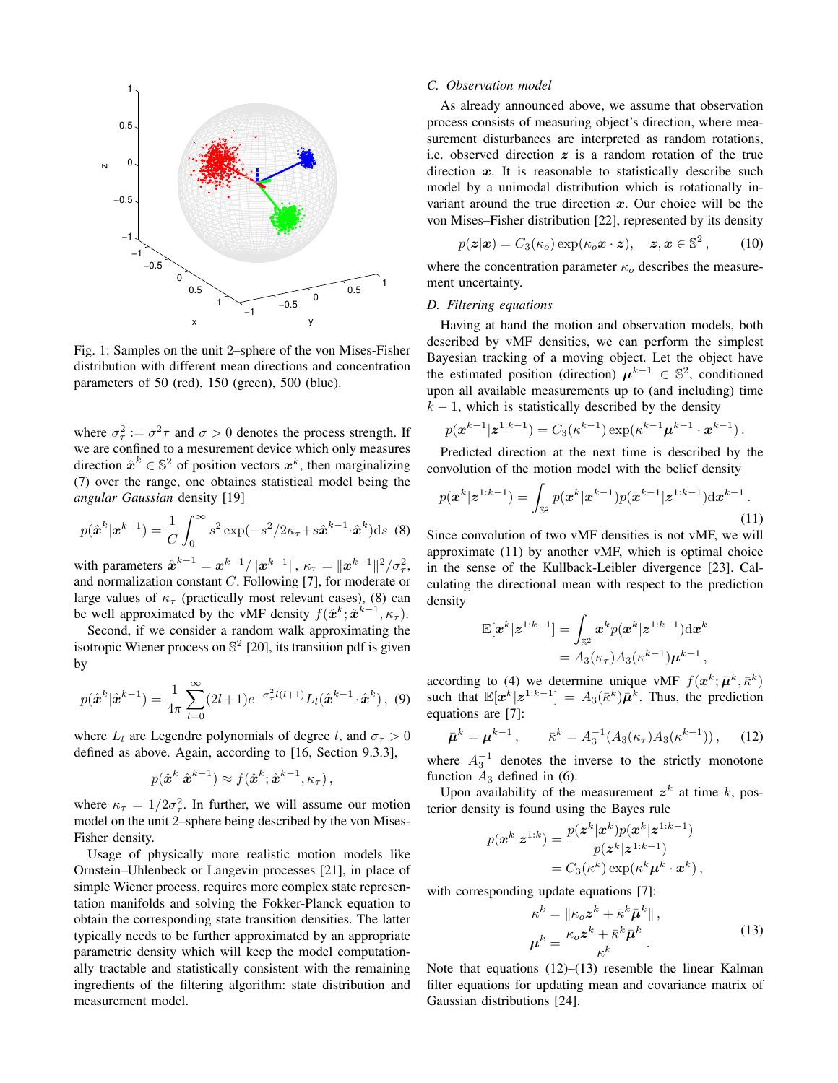

Fig. 1: Samples on the unit 2–sphere of the von Mises-Fisher distribution with different mean directions and concentration parameters of 50 (red), 150 (green), 500 (blue).

where  $\sigma_{\tau}^2 := \sigma^2 \tau$  and  $\sigma > 0$  denotes the process strength. If we are confined to a mesurement device which only measures direction  $\hat{x}^k \in \mathbb{S}^2$  of position vectors  $x^k$ , then marginalizing (7) over the range, one obtaines statistical model being the *angular Gaussian* density [19]

$$
p(\hat{\boldsymbol{x}}^{k}|\boldsymbol{x}^{k-1}) = \frac{1}{C} \int_0^\infty s^2 \exp(-s^2/2\kappa_\tau + s\hat{\boldsymbol{x}}^{k-1} \cdot \hat{\boldsymbol{x}}^k) \mathrm{d}s \tag{8}
$$

with parameters  $\hat{x}^{k-1} = x^{k-1} / \|x^{k-1}\|$ ,  $\kappa_{\tau} = \|x^{k-1}\|^2 / \sigma_{\tau}^2$ , and normalization constant C. Following [7], for moderate or large values of  $\kappa_{\tau}$  (practically most relevant cases), (8) can be well approximated by the vMF density  $f(\hat{x}^k; \hat{x}^{k-1}, \kappa_{\tau})$ .

Second, if we consider a random walk approximating the isotropic Wiener process on  $\mathbb{S}^2$  [20], its transition pdf is given by

$$
p(\hat{\boldsymbol{x}}^{k}|\hat{\boldsymbol{x}}^{k-1}) = \frac{1}{4\pi} \sum_{l=0}^{\infty} (2l+1) e^{-\sigma_{\tau}^{2}l(l+1)} L_{l}(\hat{\boldsymbol{x}}^{k-1} \cdot \hat{\boldsymbol{x}}^{k}), \tag{9}
$$

where  $L_l$  are Legendre polynomials of degree l, and  $\sigma_\tau > 0$ defined as above. Again, according to [16, Section 9.3.3],

$$
p(\hat{\boldsymbol{x}}^k|\hat{\boldsymbol{x}}^{k-1})\approx f(\hat{\boldsymbol{x}}^k;\hat{\boldsymbol{x}}^{k-1},\kappa_{\tau}),
$$

where  $\kappa_{\tau} = 1/2\sigma_{\tau}^2$ . In further, we will assume our motion model on the unit 2–sphere being described by the von Mises-Fisher density.

Usage of physically more realistic motion models like Ornstein–Uhlenbeck or Langevin processes [21], in place of simple Wiener process, requires more complex state representation manifolds and solving the Fokker-Planck equation to obtain the corresponding state transition densities. The latter typically needs to be further approximated by an appropriate parametric density which will keep the model computationally tractable and statistically consistent with the remaining ingredients of the filtering algorithm: state distribution and measurement model.

#### *C. Observation model*

As already announced above, we assume that observation process consists of measuring object's direction, where measurement disturbances are interpreted as random rotations, i.e. observed direction  $z$  is a random rotation of the true direction  $x$ . It is reasonable to statistically describe such model by a unimodal distribution which is rotationally invariant around the true direction  $x$ . Our choice will be the von Mises–Fisher distribution [22], represented by its density

$$
p(\boldsymbol{z}|\boldsymbol{x}) = C_3(\kappa_o) \exp(\kappa_o \boldsymbol{x} \cdot \boldsymbol{z}), \quad \boldsymbol{z}, \boldsymbol{x} \in \mathbb{S}^2, \qquad (10)
$$

where the concentration parameter  $\kappa_o$  describes the measurement uncertainty.

# *D. Filtering equations*

Having at hand the motion and observation models, both described by vMF densities, we can perform the simplest Bayesian tracking of a moving object. Let the object have the estimated position (direction)  $\mu^{k-1} \in \mathbb{S}^2$ , conditioned upon all available measurements up to (and including) time  $k - 1$ , which is statistically described by the density

$$
p(\mathbf{x}^{k-1}|\mathbf{z}^{1:k-1}) = C_3(\kappa^{k-1}) \exp(\kappa^{k-1}\mathbf{\mu}^{k-1} \cdot \mathbf{x}^{k-1}).
$$

Predicted direction at the next time is described by the convolution of the motion model with the belief density

$$
p(\boldsymbol{x}^{k}|\boldsymbol{z}^{1:k-1}) = \int_{\mathbb{S}^2} p(\boldsymbol{x}^{k}|\boldsymbol{x}^{k-1}) p(\boldsymbol{x}^{k-1}|\boldsymbol{z}^{1:k-1}) d\boldsymbol{x}^{k-1}.
$$
\n(11)

Since convolution of two vMF densities is not vMF, we will approximate (11) by another vMF, which is optimal choice in the sense of the Kullback-Leibler divergence [23]. Calculating the directional mean with respect to the prediction density

$$
\mathbb{E}[\boldsymbol{x}^k|\boldsymbol{z}^{1:k-1}] = \int_{\mathbb{S}^2} \boldsymbol{x}^k p(\boldsymbol{x}^k|\boldsymbol{z}^{1:k-1}) \mathrm{d}\boldsymbol{x}^k
$$

$$
= A_3(\kappa_\tau) A_3(\kappa^{k-1}) \boldsymbol{\mu}^{k-1},
$$

according to (4) we determine unique vMF  $f(\mathbf{x}^k; \bar{\boldsymbol{\mu}}^k, \bar{\boldsymbol{\kappa}}^k)$ such that  $\mathbb{E}[x^k|z^{1:k-1}] = A_3(\bar{k}^k)\bar{\mu}^k$ . Thus, the prediction equations are [7]:

$$
\bar{\mu}^k = \mu^{k-1}, \qquad \bar{\kappa}^k = A_3^{-1}(A_3(\kappa_\tau)A_3(\kappa^{k-1})), \quad (12)
$$

where  $A_3^{-1}$  denotes the inverse to the strictly monotone function  $A_3$  defined in (6).

Upon availability of the measurement  $z^k$  at time k, posterior density is found using the Bayes rule

$$
p(\boldsymbol{x}^k | \boldsymbol{z}^{1:k}) = \frac{p(\boldsymbol{z}^k | \boldsymbol{x}^k) p(\boldsymbol{x}^k | \boldsymbol{z}^{1:k-1})}{p(\boldsymbol{z}^k | \boldsymbol{z}^{1:k-1})}
$$
  
=  $C_3(\kappa^k) \exp(\kappa^k \boldsymbol{\mu}^k \cdot \boldsymbol{x}^k)$ ,

with corresponding update equations [7]:

$$
\kappa^{k} = \|\kappa_{o} \mathbf{z}^{k} + \bar{\kappa}^{k} \bar{\boldsymbol{\mu}}^{k}\|,
$$
  

$$
\boldsymbol{\mu}^{k} = \frac{\kappa_{o} \mathbf{z}^{k} + \bar{\kappa}^{k} \bar{\boldsymbol{\mu}}^{k}}{\kappa^{k}}.
$$
 (13)

Note that equations (12)–(13) resemble the linear Kalman filter equations for updating mean and covariance matrix of Gaussian distributions [24].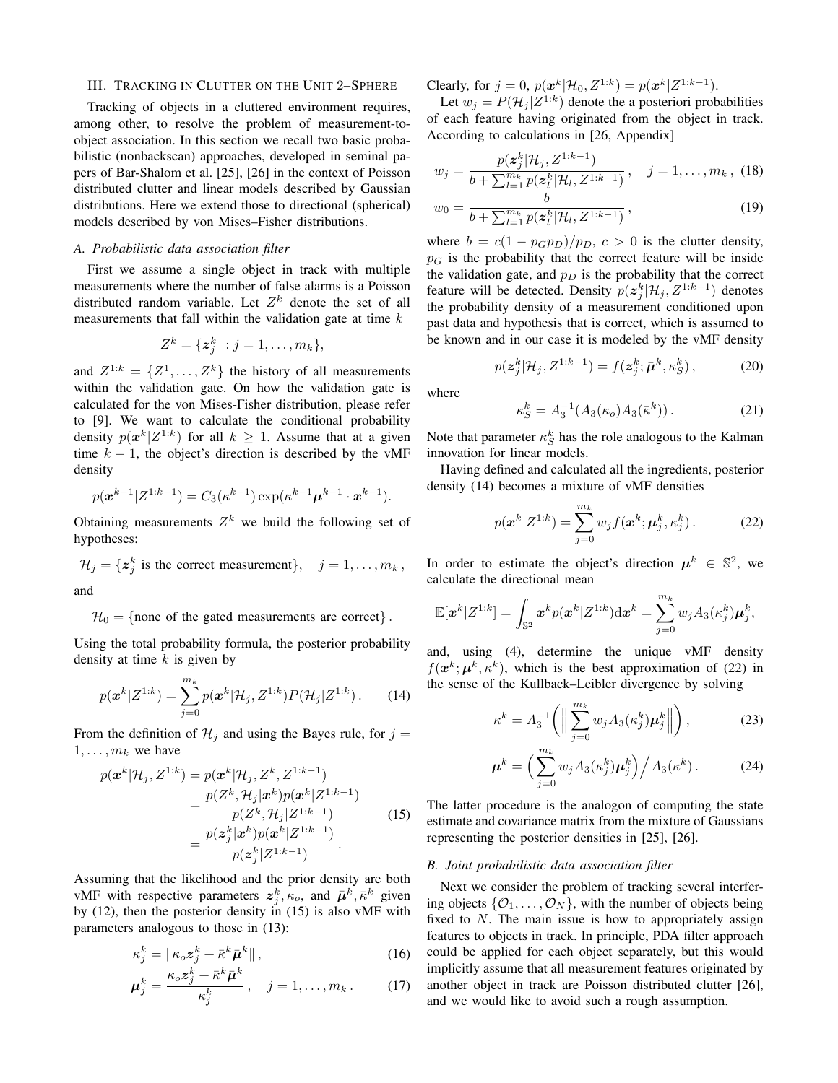## III. TRACKING IN CLUTTER ON THE UNIT 2–SPHERE

Tracking of objects in a cluttered environment requires, among other, to resolve the problem of measurement-toobject association. In this section we recall two basic probabilistic (nonbackscan) approaches, developed in seminal papers of Bar-Shalom et al. [25], [26] in the context of Poisson distributed clutter and linear models described by Gaussian distributions. Here we extend those to directional (spherical) models described by von Mises–Fisher distributions.

# *A. Probabilistic data association filter*

First we assume a single object in track with multiple measurements where the number of false alarms is a Poisson distributed random variable. Let  $Z^k$  denote the set of all measurements that fall within the validation gate at time  $k$ 

$$
Z^k = \{ \boldsymbol{z}_j^k \ : j = 1, \ldots, m_k \},
$$

and  $Z^{1:k} = \{Z^1, \ldots, Z^k\}$  the history of all measurements within the validation gate. On how the validation gate is calculated for the von Mises-Fisher distribution, please refer to [9]. We want to calculate the conditional probability density  $p(x^k|Z^{1:k})$  for all  $k \ge 1$ . Assume that at a given time  $k - 1$ , the object's direction is described by the vMF density

$$
p(\mathbf{x}^{k-1}|Z^{1:k-1}) = C_3(\kappa^{k-1})\exp(\kappa^{k-1}\mathbf{\mu}^{k-1}\cdot\mathbf{x}^{k-1}).
$$

Obtaining measurements  $Z^k$  we build the following set of hypotheses:

$$
\mathcal{H}_j = \{ \mathbf{z}_j^k \text{ is the correct measurement} \}, \quad j = 1, \dots, m_k,
$$
  
and

 $\mathcal{H}_0 = \{$  none of the gated measurements are correct $\}$ .

Using the total probability formula, the posterior probability density at time  $k$  is given by

$$
p(\mathbf{x}^{k}|Z^{1:k}) = \sum_{j=0}^{m_k} p(\mathbf{x}^{k}|\mathcal{H}_j, Z^{1:k}) P(\mathcal{H}_j|Z^{1:k}).
$$
 (14)

From the definition of  $\mathcal{H}_j$  and using the Bayes rule, for  $j =$  $1, \ldots, m_k$  we have

$$
p(\mathbf{x}^{k}|\mathcal{H}_{j}, Z^{1:k}) = p(\mathbf{x}^{k}|\mathcal{H}_{j}, Z^{k}, Z^{1:k-1})
$$
  
= 
$$
\frac{p(Z^{k}, \mathcal{H}_{j}|\mathbf{x}^{k})p(\mathbf{x}^{k}|Z^{1:k-1})}{p(Z^{k}, \mathcal{H}_{j}|Z^{1:k-1})}
$$
  
= 
$$
\frac{p(\mathbf{z}^{k}_{j}|\mathbf{x}^{k})p(\mathbf{x}^{k}|Z^{1:k-1})}{p(\mathbf{z}^{k}_{j}|Z^{1:k-1})}.
$$
 (15)

Assuming that the likelihood and the prior density are both vMF with respective parameters  $z_j^k, \kappa_o$ , and  $\bar{\mu}^k, \bar{\kappa}^k$  given by (12), then the posterior density in (15) is also vMF with parameters analogous to those in (13):

$$
\kappa_j^k = \|\kappa_o \mathbf{z}_j^k + \bar{\kappa}^k \bar{\boldsymbol{\mu}}^k\|,
$$
\n
$$
\kappa \ \mathbf{z}^k + \bar{\kappa}^k \bar{\boldsymbol{\mu}}^k.
$$
\n(16)

$$
\mu_j^k = \frac{\kappa_o z_j^k + \bar{\kappa}^k \bar{\mu}^k}{\kappa_j^k}, \quad j = 1, \dots, m_k. \tag{17}
$$

Clearly, for  $j = 0$ ,  $p(x^k | \mathcal{H}_0, Z^{1:k}) = p(x^k | Z^{1:k-1})$ .

Let  $w_j = P(\mathcal{H}_j | Z^{1:k})$  denote the a posteriori probabilities of each feature having originated from the object in track. According to calculations in [26, Appendix]

$$
w_j = \frac{p(z_j^k | \mathcal{H}_j, Z^{1:k-1})}{b + \sum_{l=1}^{m_k} p(z_l^k | \mathcal{H}_l, Z^{1:k-1})}, \quad j = 1, \dots, m_k, (18)
$$
  

$$
w_0 = \frac{b}{1 + \sum_{l=1}^{m_k} (k! \mathcal{H}_l, Z^{1:k-1})},
$$
 (19)

 $\overline{b + \sum_{l=1}^{m_k} p(\boldsymbol{z}_l^k| \mathcal{H}_l, Z^{1:k-1})}$ where  $b = c(1 - p_G p_D)/p_D$ ,  $c > 0$  is the clutter density,

 $p<sub>G</sub>$  is the probability that the correct feature will be inside the validation gate, and  $p_D$  is the probability that the correct feature will be detected. Density  $p(\mathbf{z}_{j}^{k}|\mathcal{H}_{j}, Z^{1:k-1})$  denotes the probability density of a measurement conditioned upon past data and hypothesis that is correct, which is assumed to be known and in our case it is modeled by the vMF density

$$
p(\mathbf{z}_{j}^{k}|\mathcal{H}_{j}, Z^{1:k-1}) = f(\mathbf{z}_{j}^{k}; \bar{\boldsymbol{\mu}}^{k}, \kappa_{S}^{k}), \qquad (20)
$$

where

$$
\kappa_S^k = A_3^{-1}(A_3(\kappa_o)A_3(\bar{\kappa}^k)).
$$
 (21)

Note that parameter  $\kappa_S^k$  has the role analogous to the Kalman innovation for linear models.

Having defined and calculated all the ingredients, posterior density (14) becomes a mixture of vMF densities

$$
p(\mathbf{x}^k | Z^{1:k}) = \sum_{j=0}^{m_k} w_j f(\mathbf{x}^k; \mu_j^k, \kappa_j^k).
$$
 (22)

In order to estimate the object's direction  $\mu^k \in \mathbb{S}^2$ , we calculate the directional mean

$$
\mathbb{E}[\boldsymbol{x}^k|Z^{1:k}]=\int_{\mathbb{S}^2}\boldsymbol{x}^kp(\boldsymbol{x}^k|Z^{1:k})\mathrm{d}\boldsymbol{x}^k=\sum_{j=0}^{m_k}w_jA_3(\kappa_j^k)\boldsymbol{\mu}_j^k,
$$

and, using (4), determine the unique vMF density  $f(\mathbf{x}^k; \mathbf{\mu}^k, \kappa^k)$ , which is the best approximation of (22) in the sense of the Kullback–Leibler divergence by solving

$$
\kappa^k = A_3^{-1} \left( \left\| \sum_{j=0}^{m_k} w_j A_3(\kappa_j^k) \boldsymbol{\mu}_j^k \right\| \right), \tag{23}
$$

$$
\boldsymbol{\mu}^k = \left(\sum_{j=0}^{m_k} w_j A_3(\kappa_j^k) \boldsymbol{\mu}_j^k\right) / A_3(\kappa^k). \tag{24}
$$

The latter procedure is the analogon of computing the state estimate and covariance matrix from the mixture of Gaussians representing the posterior densities in [25], [26].

# *B. Joint probabilistic data association filter*

Next we consider the problem of tracking several interfering objects  $\{O_1, \ldots, O_N\}$ , with the number of objects being fixed to  $N$ . The main issue is how to appropriately assign features to objects in track. In principle, PDA filter approach could be applied for each object separately, but this would implicitly assume that all measurement features originated by another object in track are Poisson distributed clutter [26], and we would like to avoid such a rough assumption.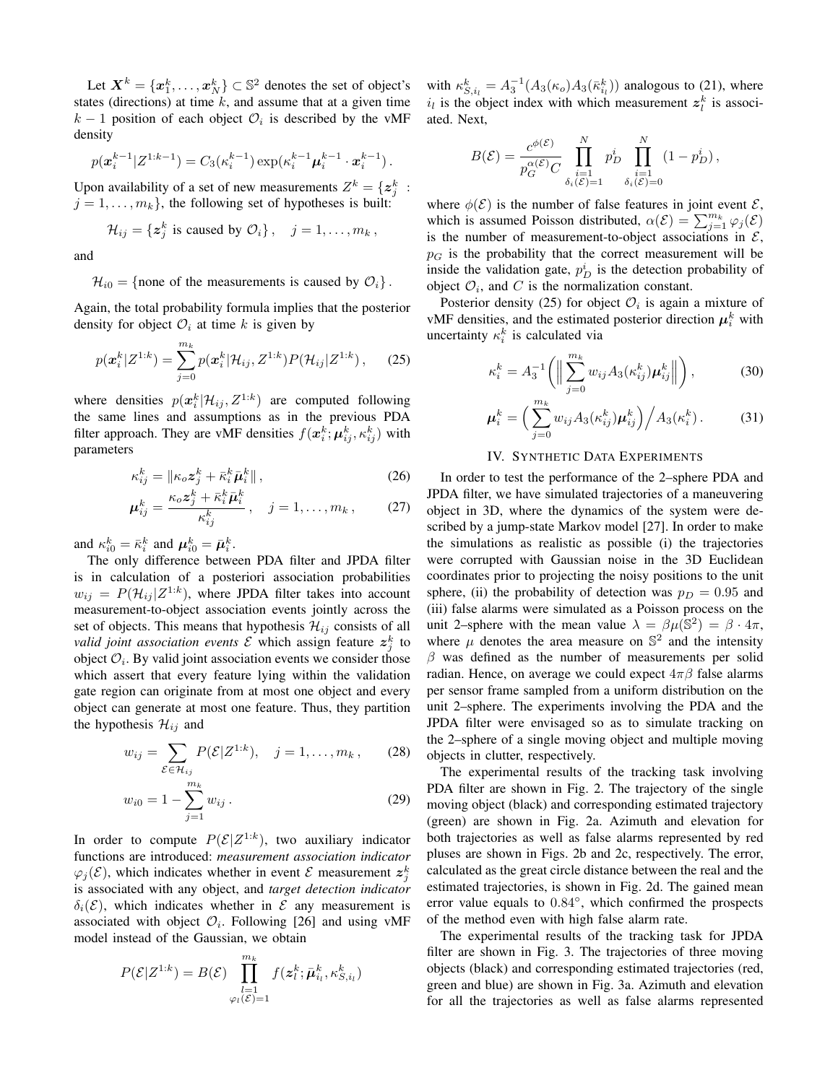Let  $\bm{X}^k = \{\bm{x}_1^k, \dots, \bm{x}_N^k\} \subset \mathbb{S}^2$  denotes the set of object's states (directions) at time  $k$ , and assume that at a given time  $k-1$  position of each object  $\mathcal{O}_i$  is described by the vMF density

$$
p(\mathbf{x}_{i}^{k-1}|Z^{1:k-1}) = C_{3}(\kappa_{i}^{k-1}) \exp(\kappa_{i}^{k-1}\boldsymbol{\mu}_{i}^{k-1} \cdot \mathbf{x}_{i}^{k-1}).
$$

Upon availability of a set of new measurements  $Z^k = \{ \boldsymbol{z}_j^k \ :$  $j = 1, \ldots, m_k$ , the following set of hypotheses is built:

$$
\mathcal{H}_{ij} = \{ \mathbf{z}_j^k \text{ is caused by } \mathcal{O}_i \}, \quad j = 1, \ldots, m_k,
$$

and

# $\mathcal{H}_{i0} = \{\text{none of the measurements is caused by } \mathcal{O}_i\}.$

Again, the total probability formula implies that the posterior density for object  $\mathcal{O}_i$  at time k is given by

$$
p(\boldsymbol{x}_{i}^{k}|\boldsymbol{Z}^{1:k})=\sum_{j=0}^{m_{k}}p(\boldsymbol{x}_{i}^{k}|\mathcal{H}_{ij},\boldsymbol{Z}^{1:k})P(\mathcal{H}_{ij}|\boldsymbol{Z}^{1:k}),
$$
 (25)

where densities  $p(x_i^k | \mathcal{H}_{ij}, Z^{1:k})$  are computed following the same lines and assumptions as in the previous PDA filter approach. They are vMF densities  $f(\mathbf{x}_i^k; \boldsymbol{\mu}_{ij}^k, \kappa_{ij}^k)$  with parameters

$$
\kappa_{ij}^k = \|\kappa_o \mathbf{z}_j^k + \bar{\kappa}_i^k \bar{\boldsymbol{\mu}}_i^k\|,
$$
\n
$$
(26)
$$

$$
\mu_{ij}^k = \frac{\kappa_o z_j^k + \bar{\kappa}_i^k \bar{\mu}_i^k}{\kappa_{ij}^k}, \quad j = 1, \dots, m_k, \quad (27)
$$

and  $\kappa_{i0}^k = \bar{\kappa}_i^k$  and  $\boldsymbol{\mu}_{i0}^k = \bar{\boldsymbol{\mu}}_i^k$ .

The only difference between PDA filter and JPDA filter is in calculation of a posteriori association probabilities  $w_{ij} = P(\mathcal{H}_{ij} | Z^{1:k})$ , where JPDA filter takes into account measurement-to-object association events jointly across the set of objects. This means that hypothesis  $\mathcal{H}_{ij}$  consists of all *valid joint association events*  $\mathcal E$  which assign feature  $z_j^k$  to object  $\mathcal{O}_i$ . By valid joint association events we consider those which assert that every feature lying within the validation gate region can originate from at most one object and every object can generate at most one feature. Thus, they partition the hypothesis  $\mathcal{H}_{ij}$  and

$$
w_{ij} = \sum_{\mathcal{E} \in \mathcal{H}_{ij}} P(\mathcal{E}|Z^{1:k}), \quad j = 1, \dots, m_k, \qquad (28)
$$

$$
w_{i0} = 1 - \sum_{j=1}^{m_k} w_{ij}.
$$
 (29)

In order to compute  $P(\mathcal{E}|Z^{1:k})$ , two auxiliary indicator functions are introduced: *measurement association indicator*  $\varphi_j(\mathcal{E})$ , which indicates whether in event  $\mathcal{E}$  measurement  $z_j^k$ is associated with any object, and *target detection indicator*  $\delta_i(\mathcal{E})$ , which indicates whether in  $\mathcal{E}$  any measurement is associated with object  $\mathcal{O}_i$ . Following [26] and using vMF model instead of the Gaussian, we obtain

$$
P(\mathcal{E}|Z^{1:k}) = B(\mathcal{E}) \prod_{\substack{l=1 \ \varphi_l(\mathcal{E})=1}}^{m_k} f(\mathbf{z}_l^k; \bar{\boldsymbol{\mu}}_{i_l}^k, \kappa_{S,i_l}^k)
$$

with  $\kappa_{S,i_l}^k = A_3^{-1}(A_3(\kappa_o)A_3(\bar{\kappa}_{i_l}^k))$  analogous to (21), where  $i_l$  is the object index with which measurement  $z_l^k$  is associated. Next,

$$
B(\mathcal{E}) = \frac{c^{\phi(\mathcal{E})}}{p_G^{\alpha(\mathcal{E})}C} \prod_{\substack{i=1 \ \delta_i(\mathcal{E})=1}}^N p_D^i \prod_{\substack{i=1 \ \delta_i(\mathcal{E})=0}}^N (1-p_D^i),
$$

where  $\phi(\mathcal{E})$  is the number of false features in joint event  $\mathcal{E}$ , which is assumed Poisson distributed,  $\alpha(\mathcal{E}) = \sum_{j=1}^{m_k} \varphi_j(\mathcal{E})$ is the number of measurement-to-object associations in  $\mathcal{E}$ ,  $p<sub>G</sub>$  is the probability that the correct measurement will be inside the validation gate,  $p_D^i$  is the detection probability of object  $\mathcal{O}_i$ , and C is the normalization constant.

Posterior density (25) for object  $\mathcal{O}_i$  is again a mixture of vMF densities, and the estimated posterior direction  $\mu_i^k$  with uncertainty  $\kappa_i^k$  is calculated via

$$
\kappa_i^k = A_3^{-1} \left( \left\| \sum_{j=0}^{m_k} w_{ij} A_3(\kappa_{ij}^k) \boldsymbol{\mu}_{ij}^k \right\| \right), \tag{30}
$$

$$
\boldsymbol{\mu}_i^k = \left(\sum_{j=0}^{m_k} w_{ij} A_3(\kappa_{ij}^k) \boldsymbol{\mu}_{ij}^k\right) / A_3(\kappa_i^k). \tag{31}
$$

# IV. SYNTHETIC DATA EXPERIMENTS

In order to test the performance of the 2–sphere PDA and JPDA filter, we have simulated trajectories of a maneuvering object in 3D, where the dynamics of the system were described by a jump-state Markov model [27]. In order to make the simulations as realistic as possible (i) the trajectories were corrupted with Gaussian noise in the 3D Euclidean coordinates prior to projecting the noisy positions to the unit sphere, (ii) the probability of detection was  $p_D = 0.95$  and (iii) false alarms were simulated as a Poisson process on the unit 2–sphere with the mean value  $\lambda = \beta \mu(\mathbb{S}^2) = \beta \cdot 4\pi$ , where  $\mu$  denotes the area measure on  $\mathbb{S}^2$  and the intensity  $\beta$  was defined as the number of measurements per solid radian. Hence, on average we could expect  $4\pi\beta$  false alarms per sensor frame sampled from a uniform distribution on the unit 2–sphere. The experiments involving the PDA and the JPDA filter were envisaged so as to simulate tracking on the 2–sphere of a single moving object and multiple moving objects in clutter, respectively.

The experimental results of the tracking task involving PDA filter are shown in Fig. 2. The trajectory of the single moving object (black) and corresponding estimated trajectory (green) are shown in Fig. 2a. Azimuth and elevation for both trajectories as well as false alarms represented by red pluses are shown in Figs. 2b and 2c, respectively. The error, calculated as the great circle distance between the real and the estimated trajectories, is shown in Fig. 2d. The gained mean error value equals to  $0.84^\circ$ , which confirmed the prospects of the method even with high false alarm rate.

The experimental results of the tracking task for JPDA filter are shown in Fig. 3. The trajectories of three moving objects (black) and corresponding estimated trajectories (red, green and blue) are shown in Fig. 3a. Azimuth and elevation for all the trajectories as well as false alarms represented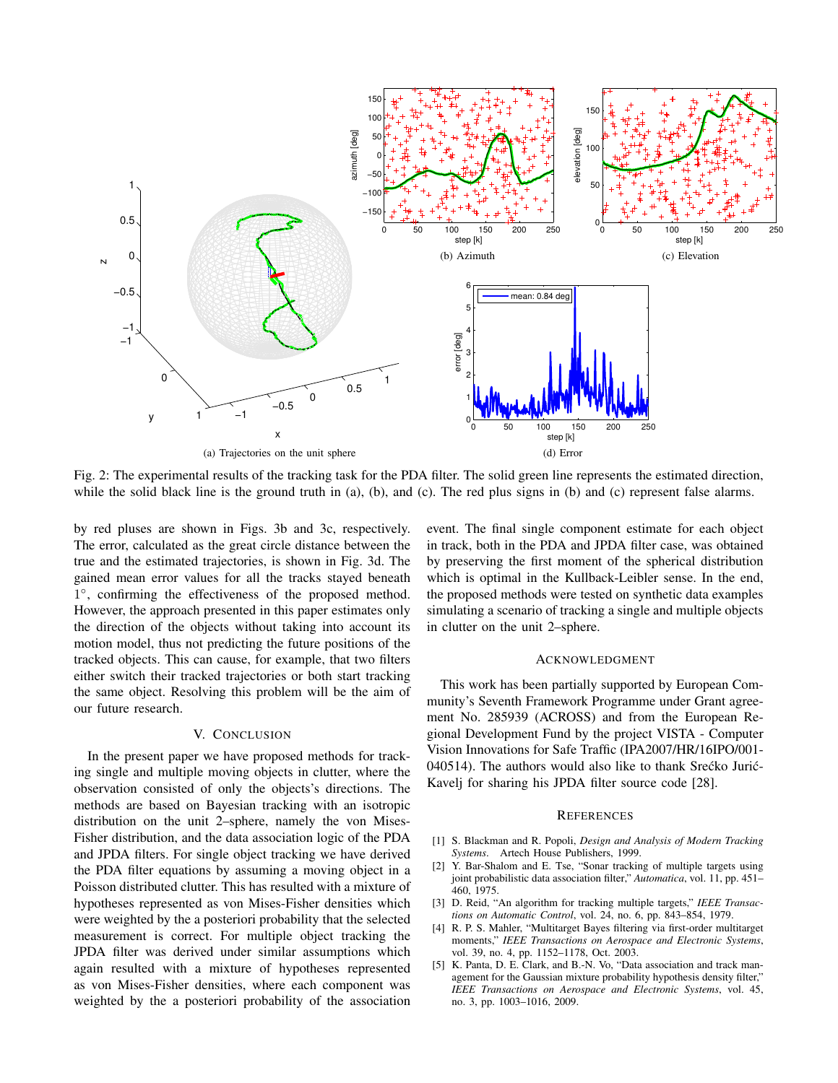

Fig. 2: The experimental results of the tracking task for the PDA filter. The solid green line represents the estimated direction, while the solid black line is the ground truth in (a), (b), and (c). The red plus signs in (b) and (c) represent false alarms.

by red pluses are shown in Figs. 3b and 3c, respectively. The error, calculated as the great circle distance between the true and the estimated trajectories, is shown in Fig. 3d. The gained mean error values for all the tracks stayed beneath 1 ◦ , confirming the effectiveness of the proposed method. However, the approach presented in this paper estimates only the direction of the objects without taking into account its motion model, thus not predicting the future positions of the tracked objects. This can cause, for example, that two filters either switch their tracked trajectories or both start tracking the same object. Resolving this problem will be the aim of our future research.

# V. CONCLUSION

In the present paper we have proposed methods for tracking single and multiple moving objects in clutter, where the observation consisted of only the objects's directions. The methods are based on Bayesian tracking with an isotropic distribution on the unit 2–sphere, namely the von Mises-Fisher distribution, and the data association logic of the PDA and JPDA filters. For single object tracking we have derived the PDA filter equations by assuming a moving object in a Poisson distributed clutter. This has resulted with a mixture of hypotheses represented as von Mises-Fisher densities which were weighted by the a posteriori probability that the selected measurement is correct. For multiple object tracking the JPDA filter was derived under similar assumptions which again resulted with a mixture of hypotheses represented as von Mises-Fisher densities, where each component was weighted by the a posteriori probability of the association event. The final single component estimate for each object in track, both in the PDA and JPDA filter case, was obtained by preserving the first moment of the spherical distribution which is optimal in the Kullback-Leibler sense. In the end, the proposed methods were tested on synthetic data examples simulating a scenario of tracking a single and multiple objects in clutter on the unit 2–sphere.

# ACKNOWLEDGMENT

This work has been partially supported by European Community's Seventh Framework Programme under Grant agreement No. 285939 (ACROSS) and from the European Regional Development Fund by the project VISTA - Computer Vision Innovations for Safe Traffic (IPA2007/HR/16IPO/001- 040514). The authors would also like to thank Srećko Jurić-Kavelj for sharing his JPDA filter source code [28].

#### **REFERENCES**

- [1] S. Blackman and R. Popoli, *Design and Analysis of Modern Tracking Systems*. Artech House Publishers, 1999.
- [2] Y. Bar-Shalom and E. Tse, "Sonar tracking of multiple targets using joint probabilistic data association filter," *Automatica*, vol. 11, pp. 451– 460, 1975.
- [3] D. Reid, "An algorithm for tracking multiple targets," *IEEE Transactions on Automatic Control*, vol. 24, no. 6, pp. 843–854, 1979.
- [4] R. P. S. Mahler, "Multitarget Bayes filtering via first-order multitarget moments," *IEEE Transactions on Aerospace and Electronic Systems*, vol. 39, no. 4, pp. 1152–1178, Oct. 2003.
- [5] K. Panta, D. E. Clark, and B.-N. Vo, "Data association and track management for the Gaussian mixture probability hypothesis density filter," *IEEE Transactions on Aerospace and Electronic Systems*, vol. 45, no. 3, pp. 1003–1016, 2009.